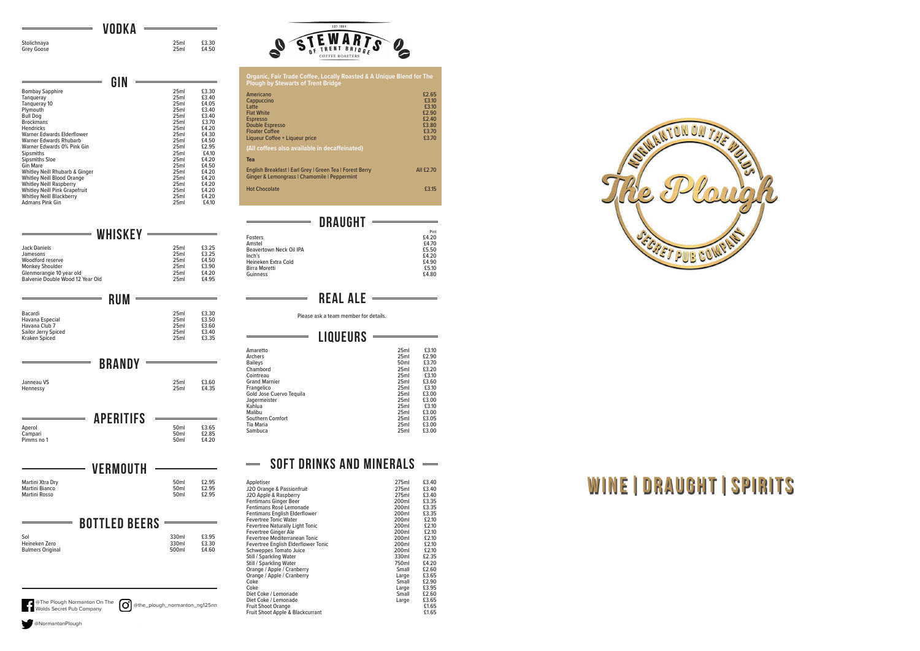|             | <b>VODKA</b> |       |
|-------------|--------------|-------|
|             |              |       |
| Stolichnaya | 25ml         | £3.30 |
| Grey Goose  | 25ml         | £4.50 |

 $\qquad \qquad =$ 

| 25ml | £3.30 |
|------|-------|
| 25ml | £4.50 |
|      |       |

Jack Daniels 25ml £3.25 Jamesons 25ml £3.25 And Jack Daniels<br>
Jamesons<br>
Woodford reserve 25ml<br>
Monkey Shoulder<br>
Clenmorangie 10 year old<br>
25ml<br>
25ml<br>
25ml<br>
24.20<br>
25ml<br>
24.20<br>
25ml<br>
24.20<br>
25ml<br>
24.20<br>
25ml<br>
24.20<br>
25ml<br>
24.20 Monkey Shoulder 25ml 63.90 Glenmorangie 10 year old 25ml £4.20 Balvenie Double Wood 12 Year Old 25ml 25ml £4.95

|                                      | GIN |                  |       |
|--------------------------------------|-----|------------------|-------|
| <b>Bombay Sapphire</b>               |     | 25ml             | £3.30 |
| Tanqueray                            |     | 25ml             | £3.40 |
| Tangueray 10                         |     | 25 <sub>ml</sub> | £4.05 |
| Plymouth                             |     | 25ml             | £3.40 |
| <b>Bull Dog</b>                      |     | 25ml             | £3.40 |
| <b>Brockmans</b>                     |     | 25ml             | £3.70 |
| <b>Hendricks</b>                     |     | 25ml             | £4.20 |
| Warner Fdwards Flderflower           |     | 25ml             | £4.30 |
| Warner Edwards Rhubarb               |     | 25ml             | £4.50 |
| Warner Edwards 0% Pink Gin           |     | 25ml             | £2.95 |
| <b>Sipsmiths</b>                     |     | 25 <sub>ml</sub> | £4.10 |
| <b>Sipsmiths Sloe</b>                |     | 25ml             | £4.20 |
| <b>Gin Mare</b>                      |     | 25ml             | £4.50 |
| Whitley Neill Rhubarb & Ginger       |     | 25ml             | £4.20 |
| <b>Whitley Neill Blood Orange</b>    |     | 25ml             | £4.20 |
| <b>Whitley Neill Raspberry</b>       |     | 25ml             | £4.20 |
| <b>Whitley Neill Pink Grapefruit</b> |     | 25ml             | £4.20 |
| <b>Whitley Neill Blackberry</b>      |     | 25ml             | £4.20 |
| <b>Admans Pink Gin</b>               |     | 25ml             | £4.10 |

WHISKEY -

APERITIFS Aperol 50ml £3.65 Campari 50ml £2.85 Aperol **21 211 111 C**<br>Campari 50ml £2.85<br>Pimms no 1 50ml £4.20

RUM Bacardi 25ml £3.30 Havana Especial 25ml £3.50 Havana Club 7 25ml £3.60 Sailor Jerry Spiced 25ml £3.40 Kraken Spiced 25ml £3.35

**BRANDY** 

Janneau VS 25ml £3.60

VERMOUTH

Martini Xtra Dry 50ml £2.95 Martini Bianco 50ml £2.95 Martini Rosso 50ml £2.95

BOTTLED BEERS Sol 50 and 530 and 530 and 530 and 53.95 Heineken Zero 330ml £3.30 Bulmers Original 500ml £4.60

| Organic, Fair Trade Coffee, Locally Roasted & A Unique Blend for The<br><b>Plough by Stewarts of Trent Bridge</b>                                             |                                                                      |  |
|---------------------------------------------------------------------------------------------------------------------------------------------------------------|----------------------------------------------------------------------|--|
| Americano<br>Cappuccino<br>Latte<br><b>Flat White</b><br><b>Espresso</b><br><b>Double Espresso</b><br><b>Floater Coffee</b><br>Liqueur Coffee + Liqueur price | £2.65<br>£3.10<br>£3.10<br>£2.90<br>£2.40<br>£3.80<br>£3.70<br>£3.70 |  |
| (All coffees also available in decaffeinated)                                                                                                                 |                                                                      |  |
| <b>Tea</b>                                                                                                                                                    |                                                                      |  |
| English Breakfast   Earl Grey   Green Tea   Forest Berry<br>Ginger & Lemongrass   Chamomile   Peppermint                                                      | All £2.70                                                            |  |
| <b>Hot Chocolate</b>                                                                                                                                          | £3.15                                                                |  |

# DRAUGHT -

|                         | Pint   |
|-------------------------|--------|
| <b>Fosters</b>          | £4.20  |
| Amstel                  | £4.70  |
| Beavertown Neck Oil IPA | £5.50  |
| Inch's                  | \$4.20 |
| Heineken Extra Cold     | £4.90  |
| <b>Birra Moretti</b>    | £5.10  |
| Guinness                | £4.80  |

# **REAL ALE**

Please ask a team member for details.

| LIQUEURS                 |                  |       |
|--------------------------|------------------|-------|
|                          |                  |       |
| Amaretto                 | 25ml             | £3.10 |
| Archers                  | 25ml             | £2.90 |
| <b>Baileys</b>           | 50 <sub>ml</sub> | £3.70 |
| Chambord                 | 25ml             | £3.20 |
| Cointreau                | 25ml             | £3.10 |
| <b>Grand Marnier</b>     | 25ml             | £3.60 |
| Frangelico               | 25ml             | £3.10 |
| Gold Jose Cuervo Tequila | 25ml             | £3.00 |
| Jagermeister             | 25ml             | £3.00 |
| Kahlua                   | 25ml             | £3.10 |
| Malibu                   | 25 <sub>ml</sub> | £3.00 |
| <b>Southern Comfort</b>  | 25ml             | £3.05 |
| Tia Maria                | 25ml             | £3.00 |
| Sambuca                  | 25ml             | £3.00 |

#### SOFT DRINKS AND MINERALS - $\qquad \qquad \overline{\qquad \qquad }$

| Appletiser                             | 275ml | £3.40 |
|----------------------------------------|-------|-------|
| J20 Orange & Passionfruit              | 275ml | £3.40 |
| J20 Apple & Raspberry                  | 275ml | £3.40 |
| <b>Fentimans Ginger Beer</b>           | 200ml | £3.35 |
| Fentimans Rosé Lemonade                | 200ml | £3.35 |
| <b>Fentimans English Elderflower</b>   | 200ml | £3.35 |
| <b>Fevertree Tonic Water</b>           | 200ml | £2.10 |
| <b>Fevertree Naturally Light Tonic</b> | 200ml | £2.10 |
| Fevertree Ginger Ale                   | 200ml | £2.10 |
| Fevertree Mediterranean Tonic          | 200ml | £2.10 |
| Fevertree English Elderflower Tonic    | 200ml | £2.10 |
| Schweppes Tomato Juice                 | 200ml | £2.10 |
| Still / Sparkling Water                | 330ml | £2.35 |
| Still / Sparkling Water                | 750ml | £4.20 |
| Orange / Apple / Cranberry             | Small | £2.60 |
| Orange / Apple / Cranberry             | Large | £3.65 |
| Coke                                   | Small | £2.90 |
| Coke                                   | Large | £3.95 |
| Diet Coke / Lemonade                   | Small | £2.60 |
| Diet Coke / Lemonade                   | Large | £3.65 |
| <b>Fruit Shoot Orange</b>              |       | £1.65 |
| Fruit Shoot Apple & Blackcurrant       |       | £1.65 |

| O               |
|-----------------|
|                 |
|                 |
|                 |
|                 |
|                 |
| <b>SAFT PUB</b> |
|                 |

@NormantonPlough

Hennessy



| EST 1984                              |
|---------------------------------------|
| TRENT BRIDE<br><b>COFFEE ROASTERS</b> |



# WINE | DRAUGHT | SPIRITS

@the\_plough\_normanton\_ng125nn @The Plough Normanton On The Wolds Secret Pub Company